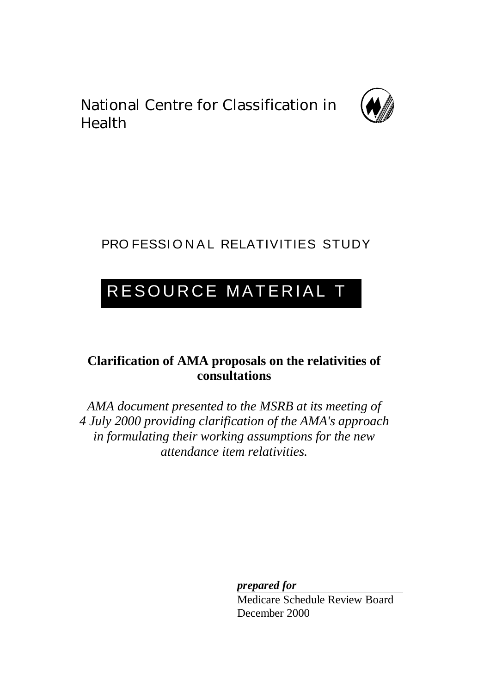National Centre for Classification in Health



# PRO FESSIONAL RELATIVITIES STUDY

# RESOURCE MATERIAL T

# **Clarification of AMA proposals on the relativities of consultations**

*AMA document presented to the MSRB at its meeting of 4 July 2000 providing clarification of the AMA's approach in formulating their working assumptions for the new attendance item relativities.*

*prepared for*

Medicare Schedule Review Board December 2000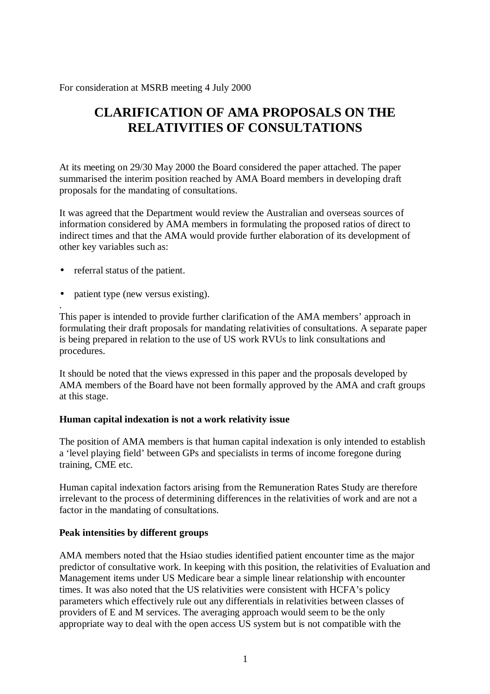For consideration at MSRB meeting 4 July 2000

# **CLARIFICATION OF AMA PROPOSALS ON THE RELATIVITIES OF CONSULTATIONS**

At its meeting on 29/30 May 2000 the Board considered the paper attached. The paper summarised the interim position reached by AMA Board members in developing draft proposals for the mandating of consultations.

It was agreed that the Department would review the Australian and overseas sources of information considered by AMA members in formulating the proposed ratios of direct to indirect times and that the AMA would provide further elaboration of its development of other key variables such as:

• referral status of the patient.

.

• patient type (new versus existing).

This paper is intended to provide further clarification of the AMA members' approach in formulating their draft proposals for mandating relativities of consultations. A separate paper is being prepared in relation to the use of US work RVUs to link consultations and procedures.

It should be noted that the views expressed in this paper and the proposals developed by AMA members of the Board have not been formally approved by the AMA and craft groups at this stage.

#### **Human capital indexation is not a work relativity issue**

The position of AMA members is that human capital indexation is only intended to establish a 'level playing field' between GPs and specialists in terms of income foregone during training, CME etc.

Human capital indexation factors arising from the Remuneration Rates Study are therefore irrelevant to the process of determining differences in the relativities of work and are not a factor in the mandating of consultations.

#### **Peak intensities by different groups**

AMA members noted that the Hsiao studies identified patient encounter time as the major predictor of consultative work. In keeping with this position, the relativities of Evaluation and Management items under US Medicare bear a simple linear relationship with encounter times. It was also noted that the US relativities were consistent with HCFA's policy parameters which effectively rule out any differentials in relativities between classes of providers of E and M services. The averaging approach would seem to be the only appropriate way to deal with the open access US system but is not compatible with the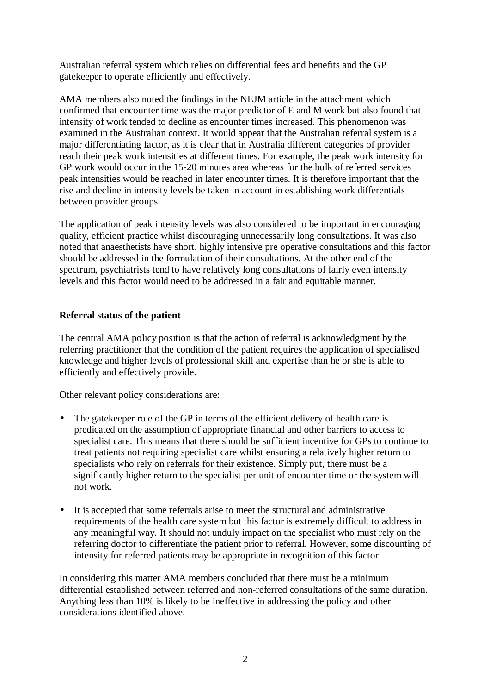Australian referral system which relies on differential fees and benefits and the GP gatekeeper to operate efficiently and effectively.

AMA members also noted the findings in the NEJM article in the attachment which confirmed that encounter time was the major predictor of E and M work but also found that intensity of work tended to decline as encounter times increased. This phenomenon was examined in the Australian context. It would appear that the Australian referral system is a major differentiating factor, as it is clear that in Australia different categories of provider reach their peak work intensities at different times. For example, the peak work intensity for GP work would occur in the 15-20 minutes area whereas for the bulk of referred services peak intensities would be reached in later encounter times. It is therefore important that the rise and decline in intensity levels be taken in account in establishing work differentials between provider groups.

The application of peak intensity levels was also considered to be important in encouraging quality, efficient practice whilst discouraging unnecessarily long consultations. It was also noted that anaesthetists have short, highly intensive pre operative consultations and this factor should be addressed in the formulation of their consultations. At the other end of the spectrum, psychiatrists tend to have relatively long consultations of fairly even intensity levels and this factor would need to be addressed in a fair and equitable manner.

### **Referral status of the patient**

The central AMA policy position is that the action of referral is acknowledgment by the referring practitioner that the condition of the patient requires the application of specialised knowledge and higher levels of professional skill and expertise than he or she is able to efficiently and effectively provide.

Other relevant policy considerations are:

- The gatekeeper role of the GP in terms of the efficient delivery of health care is predicated on the assumption of appropriate financial and other barriers to access to specialist care. This means that there should be sufficient incentive for GPs to continue to treat patients not requiring specialist care whilst ensuring a relatively higher return to specialists who rely on referrals for their existence. Simply put, there must be a significantly higher return to the specialist per unit of encounter time or the system will not work.
- It is accepted that some referrals arise to meet the structural and administrative requirements of the health care system but this factor is extremely difficult to address in any meaningful way. It should not unduly impact on the specialist who must rely on the referring doctor to differentiate the patient prior to referral. However, some discounting of intensity for referred patients may be appropriate in recognition of this factor.

In considering this matter AMA members concluded that there must be a minimum differential established between referred and non-referred consultations of the same duration. Anything less than 10% is likely to be ineffective in addressing the policy and other considerations identified above.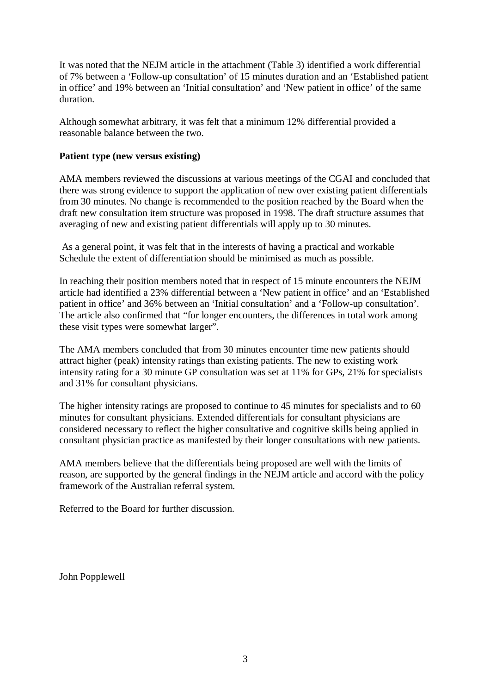It was noted that the NEJM article in the attachment (Table 3) identified a work differential of 7% between a 'Follow-up consultation' of 15 minutes duration and an 'Established patient in office' and 19% between an 'Initial consultation' and 'New patient in office' of the same duration.

Although somewhat arbitrary, it was felt that a minimum 12% differential provided a reasonable balance between the two.

#### **Patient type (new versus existing)**

AMA members reviewed the discussions at various meetings of the CGAI and concluded that there was strong evidence to support the application of new over existing patient differentials from 30 minutes. No change is recommended to the position reached by the Board when the draft new consultation item structure was proposed in 1998. The draft structure assumes that averaging of new and existing patient differentials will apply up to 30 minutes.

As a general point, it was felt that in the interests of having a practical and workable Schedule the extent of differentiation should be minimised as much as possible.

In reaching their position members noted that in respect of 15 minute encounters the NEJM article had identified a 23% differential between a 'New patient in office' and an 'Established patient in office' and 36% between an 'Initial consultation' and a 'Follow-up consultation'. The article also confirmed that "for longer encounters, the differences in total work among these visit types were somewhat larger".

The AMA members concluded that from 30 minutes encounter time new patients should attract higher (peak) intensity ratings than existing patients. The new to existing work intensity rating for a 30 minute GP consultation was set at 11% for GPs, 21% for specialists and 31% for consultant physicians.

The higher intensity ratings are proposed to continue to 45 minutes for specialists and to 60 minutes for consultant physicians. Extended differentials for consultant physicians are considered necessary to reflect the higher consultative and cognitive skills being applied in consultant physician practice as manifested by their longer consultations with new patients.

AMA members believe that the differentials being proposed are well with the limits of reason, are supported by the general findings in the NEJM article and accord with the policy framework of the Australian referral system.

Referred to the Board for further discussion.

John Popplewell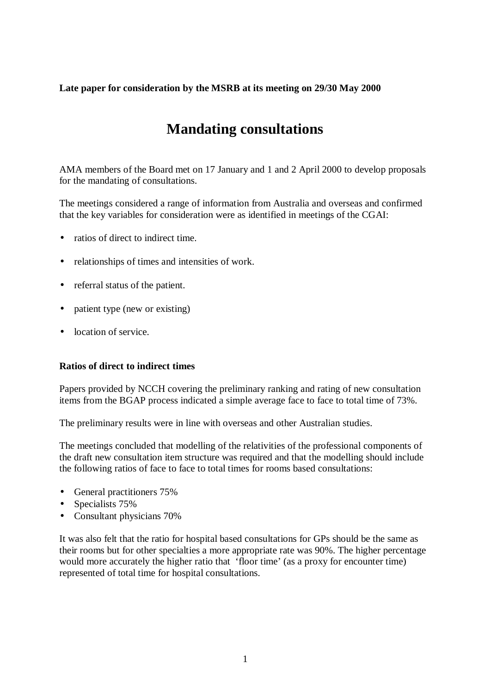### **Late paper for consideration by the MSRB at its meeting on 29/30 May 2000**

# **Mandating consultations**

AMA members of the Board met on 17 January and 1 and 2 April 2000 to develop proposals for the mandating of consultations.

The meetings considered a range of information from Australia and overseas and confirmed that the key variables for consideration were as identified in meetings of the CGAI:

- ratios of direct to indirect time.
- relationships of times and intensities of work.
- referral status of the patient.
- patient type (new or existing)
- location of service.

### **Ratios of direct to indirect times**

Papers provided by NCCH covering the preliminary ranking and rating of new consultation items from the BGAP process indicated a simple average face to face to total time of 73%.

The preliminary results were in line with overseas and other Australian studies.

The meetings concluded that modelling of the relativities of the professional components of the draft new consultation item structure was required and that the modelling should include the following ratios of face to face to total times for rooms based consultations:

- General practitioners 75%
- Specialists 75%
- Consultant physicians 70%

It was also felt that the ratio for hospital based consultations for GPs should be the same as their rooms but for other specialties a more appropriate rate was 90%. The higher percentage would more accurately the higher ratio that 'floor time' (as a proxy for encounter time) represented of total time for hospital consultations.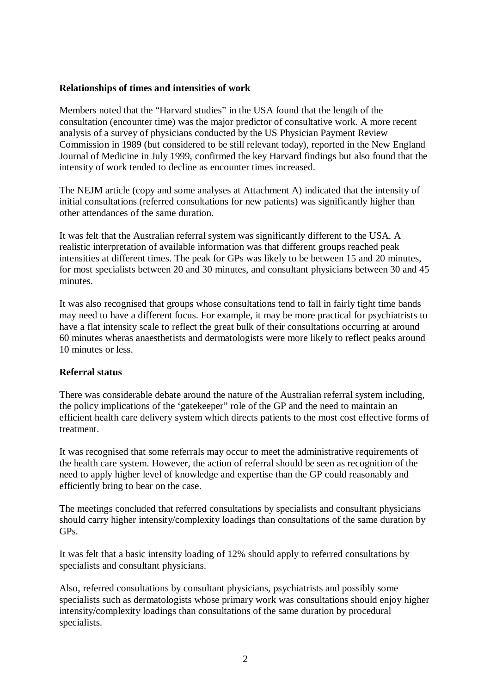#### **Relationships of times and intensities of work**

Members noted that the "Harvard studies" in the USA found that the length of the consultation (encounter time) was the major predictor of consultative work. A more recent analysis of a survey of physicians conducted by the US Physician Payment Review Commission in 1989 (but considered to be still relevant today), reported in the New England Journal of Medicine in July 1999, confirmed the key Harvard findings but also found that the intensity of work tended to decline as encounter times increased.

The NEJM article (copy and some analyses at Attachment A) indicated that the intensity of initial consultations (referred consultations for new patients) was significantly higher than other attendances of the same duration.

It was felt that the Australian referral system was significantly different to the USA. A realistic interpretation of available information was that different groups reached peak intensities at different times. The peak for GPs was likely to be between 15 and 20 minutes, for most specialists between 20 and 30 minutes, and consultant physicians between 30 and 45 minutes.

It was also recognised that groups whose consultations tend to fall in fairly tight time bands may need to have a different focus. For example, it may be more practical for psychiatrists to have a flat intensity scale to reflect the great bulk of their consultations occurring at around 60 minutes wheras anaesthetists and dermatologists were more likely to reflect peaks around 10 minutes or less.

#### **Referral status**

There was considerable debate around the nature of the Australian referral system including, the policy implications of the 'gatekeeper" role of the GP and the need to maintain an efficient health care delivery system which directs patients to the most cost effective forms of treatment.

It was recognised that some referrals may occur to meet the administrative requirements of the health care system. However, the action of referral should be seen as recognition of the need to apply higher level of knowledge and expertise than the GP could reasonably and efficiently bring to bear on the case.

The meetings concluded that referred consultations by specialists and consultant physicians should carry higher intensity/complexity loadings than consultations of the same duration by GPs.

It was felt that a basic intensity loading of 12% should apply to referred consultations by specialists and consultant physicians.

Also, referred consultations by consultant physicians, psychiatrists and possibly some specialists such as dermatologists whose primary work was consultations should enjoy higher intensity/complexity loadings than consultations of the same duration by procedural specialists.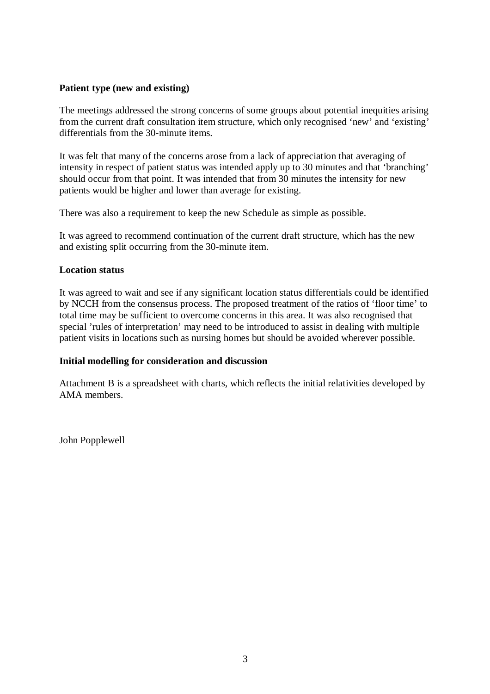#### **Patient type (new and existing)**

The meetings addressed the strong concerns of some groups about potential inequities arising from the current draft consultation item structure, which only recognised 'new' and 'existing' differentials from the 30-minute items.

It was felt that many of the concerns arose from a lack of appreciation that averaging of intensity in respect of patient status was intended apply up to 30 minutes and that 'branching' should occur from that point. It was intended that from 30 minutes the intensity for new patients would be higher and lower than average for existing.

There was also a requirement to keep the new Schedule as simple as possible.

It was agreed to recommend continuation of the current draft structure, which has the new and existing split occurring from the 30-minute item.

#### **Location status**

It was agreed to wait and see if any significant location status differentials could be identified by NCCH from the consensus process. The proposed treatment of the ratios of 'floor time' to total time may be sufficient to overcome concerns in this area. It was also recognised that special 'rules of interpretation' may need to be introduced to assist in dealing with multiple patient visits in locations such as nursing homes but should be avoided wherever possible.

#### **Initial modelling for consideration and discussion**

Attachment B is a spreadsheet with charts, which reflects the initial relativities developed by AMA members.

John Popplewell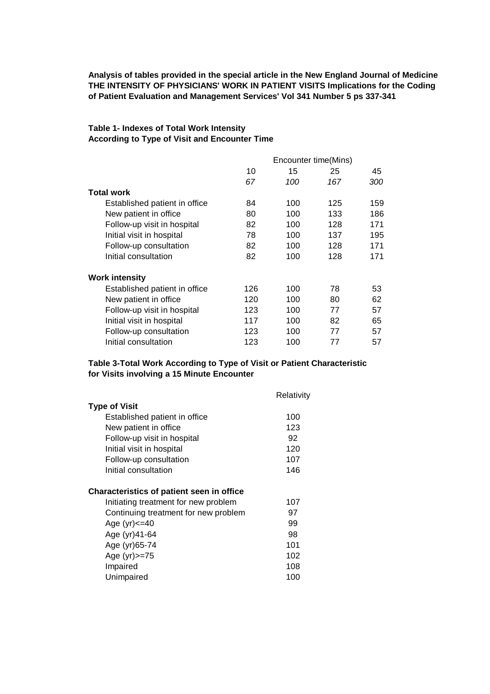**Analysis of tables provided in the special article in the New England Journal of Medicine THE INTENSITY OF PHYSICIANS' WORK IN PATIENT VISITS Implications for the Coding of Patient Evaluation and Management Services' Vol 341 Number 5 ps 337-341**

#### **Table 1- Indexes of Total Work Intensity According to Type of Visit and Encounter Time**

|                               | Encounter time(Mins) |     |     |     |  |  |  |  |  |
|-------------------------------|----------------------|-----|-----|-----|--|--|--|--|--|
|                               | 10                   | 15  | 25  | 45  |  |  |  |  |  |
|                               | 67                   | 100 | 167 | 300 |  |  |  |  |  |
| <b>Total work</b>             |                      |     |     |     |  |  |  |  |  |
| Established patient in office | 84                   | 100 | 125 | 159 |  |  |  |  |  |
| New patient in office         | 80                   | 100 | 133 | 186 |  |  |  |  |  |
| Follow-up visit in hospital   | 82                   | 100 | 128 | 171 |  |  |  |  |  |
| Initial visit in hospital     | 78                   | 100 | 137 | 195 |  |  |  |  |  |
| Follow-up consultation        | 82                   | 100 | 128 | 171 |  |  |  |  |  |
| Initial consultation          | 82                   | 100 | 128 | 171 |  |  |  |  |  |
| <b>Work intensity</b>         |                      |     |     |     |  |  |  |  |  |
| Established patient in office | 126                  | 100 | 78  | 53  |  |  |  |  |  |
| New patient in office         | 120                  | 100 | 80  | 62  |  |  |  |  |  |
| Follow-up visit in hospital   | 123                  | 100 | 77  | 57  |  |  |  |  |  |
| Initial visit in hospital     | 117                  | 100 | 82  | 65  |  |  |  |  |  |
| Follow-up consultation        | 123                  | 100 | 77  | 57  |  |  |  |  |  |
| Initial consultation          | 123                  | 100 | 77  | 57  |  |  |  |  |  |

#### **Table 3-Total Work According to Type of Visit or Patient Characteristic for Visits involving a 15 Minute Encounter**

|                                                  | Relativity |
|--------------------------------------------------|------------|
| <b>Type of Visit</b>                             |            |
| Established patient in office                    | 100        |
| New patient in office                            | 123        |
| Follow-up visit in hospital                      | 92         |
| Initial visit in hospital                        | 120        |
| Follow-up consultation                           | 107        |
| Initial consultation                             | 146        |
| <b>Characteristics of patient seen in office</b> |            |
| Initiating treatment for new problem             | 107        |
| Continuing treatment for new problem             | 97         |
| Age $(yr) < = 40$                                | 99         |
| Age (yr) 41-64                                   | 98         |
| Age (yr) 65-74                                   | 101        |
| Age (yr) >= 75                                   | 102        |
| Impaired                                         | 108        |
| Unimpaired                                       | 100        |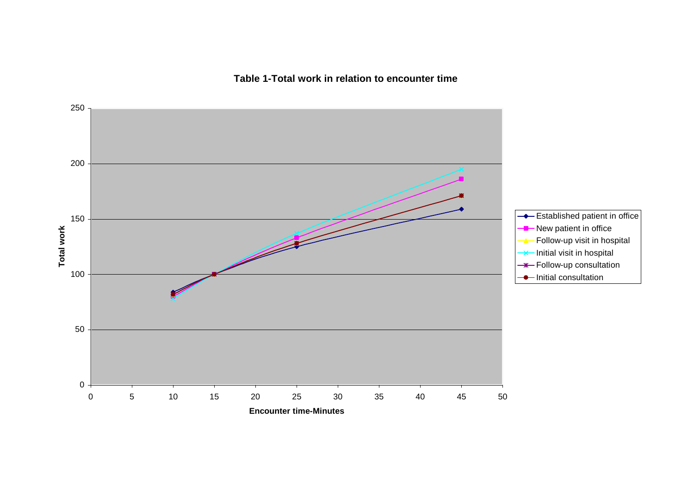**Table 1-Total work in relation to encounter time**

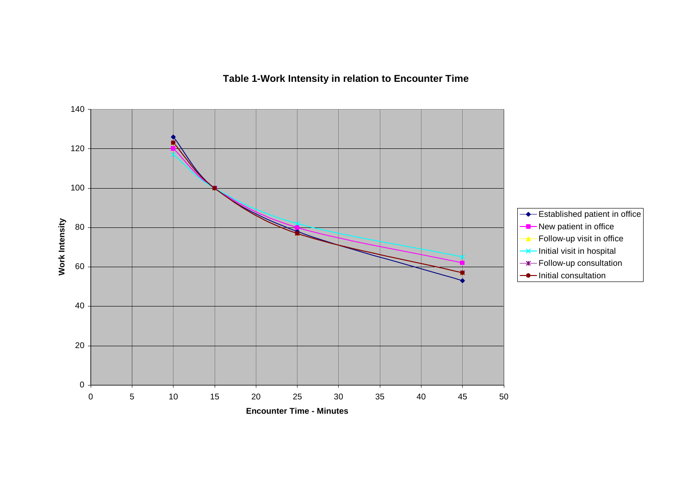# **Table 1-Work Intensity in relation to Encounter Time**

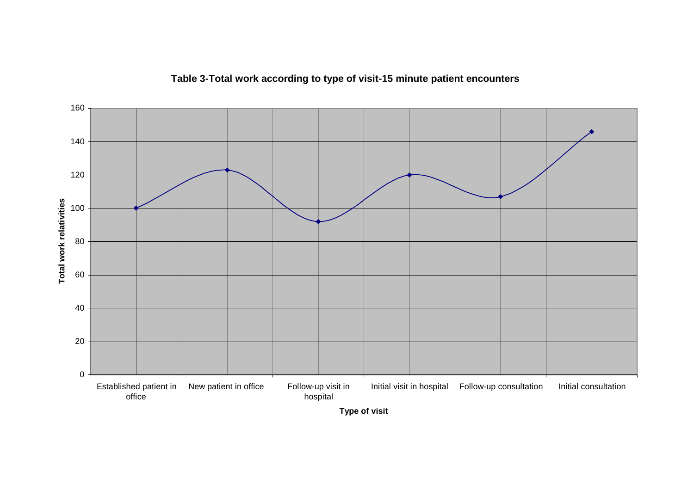

# **Table 3-Total work according to type of visit-15 minute patient encounters**

**Type of visit**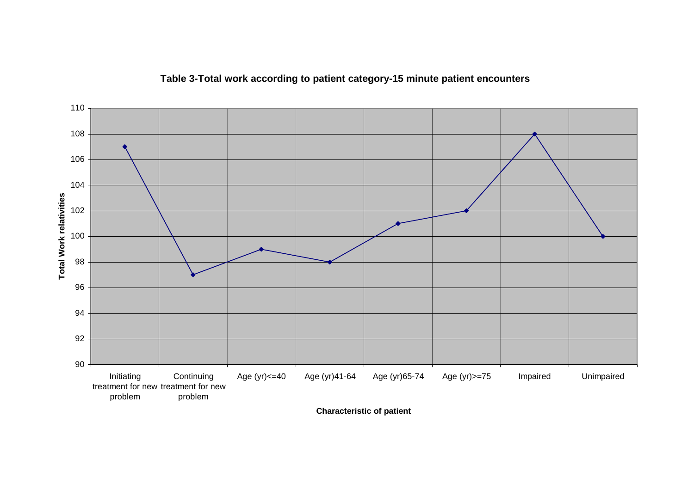

### **Table 3-Total work according to patient category-15 minute patient encounters**

**Characteristic of patient**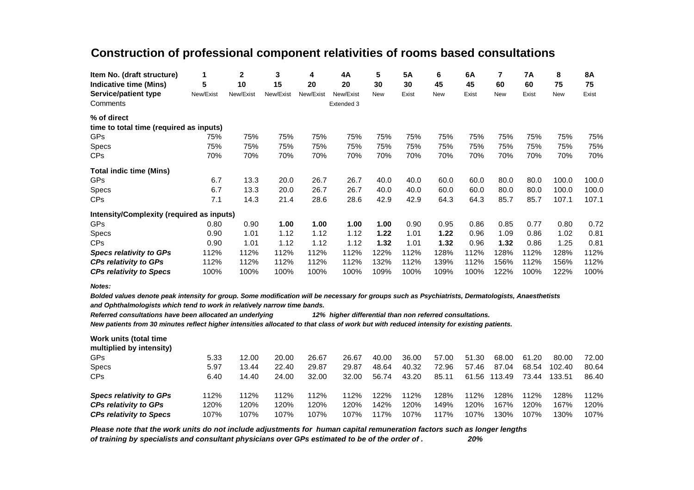# **Construction of professional component relativities of rooms based consultations**

| Item No. (draft structure)                | 1         | 2         | 3         | 4         | 4A         | 5          | <b>5A</b> | 6          | 6A    | 7          | <b>7A</b> | 8          | <b>8A</b> |
|-------------------------------------------|-----------|-----------|-----------|-----------|------------|------------|-----------|------------|-------|------------|-----------|------------|-----------|
| Indicative time (Mins)                    | 5         | 10        | 15        | 20        | 20         | 30         | 30        | 45         | 45    | 60         | 60        | 75         | 75        |
| Service/patient type                      | New/Exist | New/Exist | New/Exist | New/Exist | New/Exist  | <b>New</b> | Exist     | <b>New</b> | Exist | <b>New</b> | Exist     | <b>New</b> | Exist     |
| Comments                                  |           |           |           |           | Extended 3 |            |           |            |       |            |           |            |           |
| % of direct                               |           |           |           |           |            |            |           |            |       |            |           |            |           |
| time to total time (required as inputs)   |           |           |           |           |            |            |           |            |       |            |           |            |           |
| <b>GPs</b>                                | 75%       | 75%       | 75%       | 75%       | 75%        | 75%        | 75%       | 75%        | 75%   | 75%        | 75%       | 75%        | 75%       |
| Specs                                     | 75%       | 75%       | 75%       | 75%       | 75%        | 75%        | 75%       | 75%        | 75%   | 75%        | 75%       | 75%        | 75%       |
| <b>CPs</b>                                | 70%       | 70%       | 70%       | 70%       | 70%        | 70%        | 70%       | 70%        | 70%   | 70%        | 70%       | 70%        | 70%       |
| <b>Total indic time (Mins)</b>            |           |           |           |           |            |            |           |            |       |            |           |            |           |
| <b>GPs</b>                                | 6.7       | 13.3      | 20.0      | 26.7      | 26.7       | 40.0       | 40.0      | 60.0       | 60.0  | 80.0       | 80.0      | 100.0      | 100.0     |
| <b>Specs</b>                              | 6.7       | 13.3      | 20.0      | 26.7      | 26.7       | 40.0       | 40.0      | 60.0       | 60.0  | 80.0       | 80.0      | 100.0      | 100.0     |
| <b>CPs</b>                                | 7.1       | 14.3      | 21.4      | 28.6      | 28.6       | 42.9       | 42.9      | 64.3       | 64.3  | 85.7       | 85.7      | 107.1      | 107.1     |
| Intensity/Complexity (required as inputs) |           |           |           |           |            |            |           |            |       |            |           |            |           |
| <b>GPs</b>                                | 0.80      | 0.90      | 1.00      | 1.00      | 1.00       | 1.00       | 0.90      | 0.95       | 0.86  | 0.85       | 0.77      | 0.80       | 0.72      |
| <b>Specs</b>                              | 0.90      | 1.01      | 1.12      | 1.12      | 1.12       | 1.22       | 1.01      | 1.22       | 0.96  | 1.09       | 0.86      | 1.02       | 0.81      |
| <b>CPs</b>                                | 0.90      | 1.01      | 1.12      | 1.12      | 1.12       | 1.32       | 1.01      | 1.32       | 0.96  | 1.32       | 0.86      | 1.25       | 0.81      |
| <b>Specs relativity to GPs</b>            | 112%      | 112%      | 112%      | 112%      | 112%       | 122%       | 112%      | 128%       | 112%  | 128%       | 112%      | 128%       | 112%      |
| <b>CPs relativity to GPs</b>              | 112%      | 112%      | 112%      | 112%      | 112%       | 132%       | 112%      | 139%       | 112%  | 156%       | 112%      | 156%       | 112%      |
| <b>CPs relativity to Specs</b>            | 100%      | 100%      | 100%      | 100%      | 100%       | 109%       | 100%      | 109%       | 100%  | 122%       | 100%      | 122%       | 100%      |

*Notes:*

*Bolded values denote peak intensity for group. Some modification will be necessary for groups such as Psychiatrists, Dermatologists, Anaesthetists* 

*and Ophthalmologists which tend to work in relatively narrow time bands.*

*Referred consultations have been allocated an underlying 12% higher differential than non referred consultations.*

*New patients from 30 minutes reflect higher intensities allocated to that class of work but with reduced intensity for existing patients.*

| Work units (total time<br>multiplied by intensity) |      |       |       |       |       |       |       |       |       |        |       |        |       |
|----------------------------------------------------|------|-------|-------|-------|-------|-------|-------|-------|-------|--------|-------|--------|-------|
| <b>GPs</b>                                         | 5.33 | 12.00 | 20.00 | 26.67 | 26.67 | 40.00 | 36.00 | 57.00 | 51.30 | 68.00  | 61.20 | 80.00  | 72.00 |
| <b>Specs</b>                                       | 5.97 | 13.44 | 22.40 | 29.87 | 29.87 | 48.64 | 40.32 | 72.96 | 57.46 | 87.04  | 68.54 | 102.40 | 80.64 |
| <b>CPs</b>                                         | 6.40 | 14.40 | 24.00 | 32.00 | 32.00 | 56.74 | 43.20 | 85.11 | 61.56 | 113.49 | 73.44 | 133.51 | 86.40 |
| <b>Specs relativity to GPs</b>                     | 112% | 112%  | 112%  | 112%  | 112%  | 122%  | 112%  | 128%  | 112%  | 128%   | 112%  | 128%   | 112%  |
| <b>CPs relativity to GPs</b>                       | 120% | 120%  | 120%  | 120%  | 120%  | 142%  | 120%  | 149%  | 120%  | 167%   | 120%  | 167%   | 120%  |
| <b>CPs relativity to Specs</b>                     | 107% | 107%  | 107%  | 107%  | 107%  | 117%  | 107%  | 117%  | 107%  | 130%   | 107%  | 30%    | 107%  |

*Please note that the work units do not include adjustments for human capital remuneration factors such as longer lengths of training by specialists and consultant physicians over GPs estimated to be of the order of . 20%*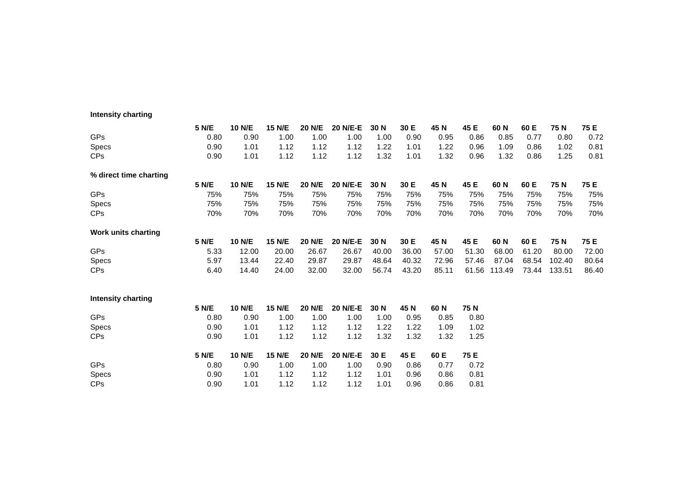#### **Intensity charting**

|                            | <b>5 N/E</b> | <b>10 N/E</b> | 15 N/E        | 20 N/E        | <b>20 N/E-E</b> | 30 N  | 30 E  | 45 N  | 45 E  | 60 N   | 60 E  | 75 N   | 75 E  |
|----------------------------|--------------|---------------|---------------|---------------|-----------------|-------|-------|-------|-------|--------|-------|--------|-------|
| <b>GPs</b>                 | 0.80         | 0.90          | 1.00          | 1.00          | 1.00            | 1.00  | 0.90  | 0.95  | 0.86  | 0.85   | 0.77  | 0.80   | 0.72  |
| Specs                      | 0.90         | 1.01          | 1.12          | 1.12          | 1.12            | 1.22  | 1.01  | 1.22  | 0.96  | 1.09   | 0.86  | 1.02   | 0.81  |
| CP <sub>s</sub>            | 0.90         | 1.01          | 1.12          | 1.12          | 1.12            | 1.32  | 1.01  | 1.32  | 0.96  | 1.32   | 0.86  | 1.25   | 0.81  |
| % direct time charting     |              |               |               |               |                 |       |       |       |       |        |       |        |       |
|                            | 5 N/E        | <b>10 N/E</b> | <b>15 N/E</b> | <b>20 N/E</b> | 20 N/E-E        | 30 N  | 30 E  | 45 N  | 45 E  | 60 N   | 60 E  | 75 N   | 75 E  |
| <b>GPs</b>                 | 75%          | 75%           | 75%           | 75%           | 75%             | 75%   | 75%   | 75%   | 75%   | 75%    | 75%   | 75%    | 75%   |
| Specs                      | 75%          | 75%           | 75%           | 75%           | 75%             | 75%   | 75%   | 75%   | 75%   | 75%    | 75%   | 75%    | 75%   |
| CP <sub>s</sub>            | 70%          | 70%           | 70%           | 70%           | 70%             | 70%   | 70%   | 70%   | 70%   | 70%    | 70%   | 70%    | 70%   |
| <b>Work units charting</b> |              |               |               |               |                 |       |       |       |       |        |       |        |       |
|                            | <b>5 N/E</b> | 10 N/E        | <b>15 N/E</b> | 20 N/E        | <b>20 N/E-E</b> | 30 N  | 30 E  | 45 N  | 45 E  | 60 N   | 60 E  | 75 N   | 75 E  |
| <b>GPs</b>                 | 5.33         | 12.00         | 20.00         | 26.67         | 26.67           | 40.00 | 36.00 | 57.00 | 51.30 | 68.00  | 61.20 | 80.00  | 72.00 |
| Specs                      | 5.97         | 13.44         | 22.40         | 29.87         | 29.87           | 48.64 | 40.32 | 72.96 | 57.46 | 87.04  | 68.54 | 102.40 | 80.64 |
| <b>CPs</b>                 | 6.40         | 14.40         | 24.00         | 32.00         | 32.00           | 56.74 | 43.20 | 85.11 | 61.56 | 113.49 | 73.44 | 133.51 | 86.40 |
| <b>Intensity charting</b>  |              |               |               |               |                 |       |       |       |       |        |       |        |       |
|                            | 5 N/E        | <b>10 N/E</b> | <b>15 N/E</b> | <b>20 N/E</b> | 20 N/E-E        | 30 N  | 45 N  | 60 N  | 75 N  |        |       |        |       |
| <b>GPs</b>                 | 0.80         | 0.90          | 1.00          | 1.00          | 1.00            | 1.00  | 0.95  | 0.85  | 0.80  |        |       |        |       |
| Specs                      | 0.90         | 1.01          | 1.12          | 1.12          | 1.12            | 1.22  | 1.22  | 1.09  | 1.02  |        |       |        |       |
| <b>CPs</b>                 | 0.90         | 1.01          | 1.12          | 1.12          | 1.12            | 1.32  | 1.32  | 1.32  | 1.25  |        |       |        |       |
|                            | 5 N/E        | <b>10 N/E</b> | <b>15 N/E</b> | <b>20 N/E</b> | 20 N/E-E        | 30 E  | 45 E  | 60 E  | 75 E  |        |       |        |       |
| <b>GPs</b>                 | 0.80         | 0.90          | 1.00          | 1.00          | 1.00            | 0.90  | 0.86  | 0.77  | 0.72  |        |       |        |       |
| Specs                      | 0.90         | 1.01          | 1.12          | 1.12          | 1.12            | 1.01  | 0.96  | 0.86  | 0.81  |        |       |        |       |
| <b>CPs</b>                 | 0.90         | 1.01          | 1.12          | 1.12          | 1.12            | 1.01  | 0.96  | 0.86  | 0.81  |        |       |        |       |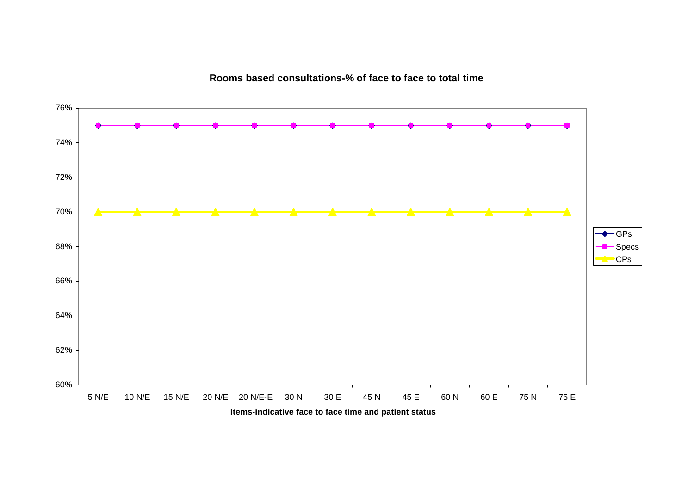**Rooms based consultations-% of face to face to total time**

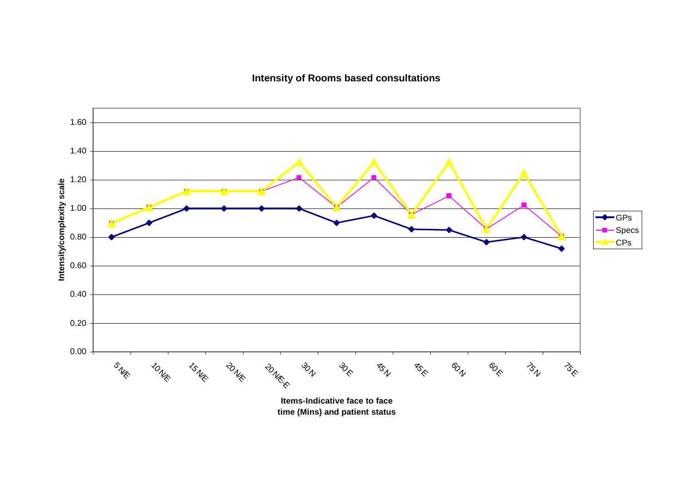**Intensity of Rooms based consultations**



**time (Mins) and patient status**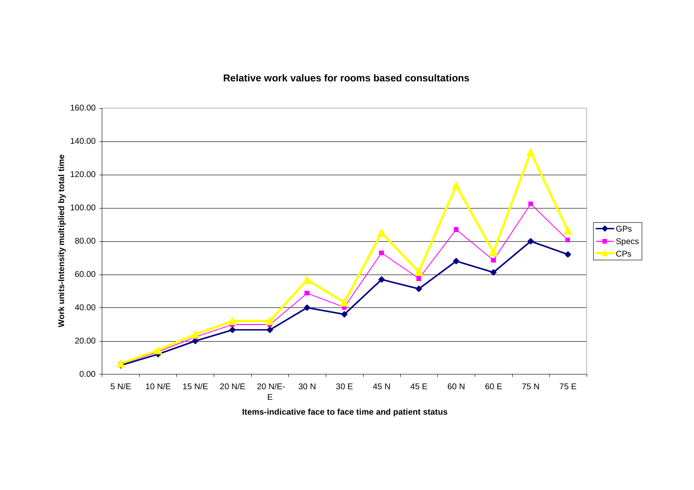### **Relative work values for rooms based consultations**



**Items-indicative face to face time and patient status**